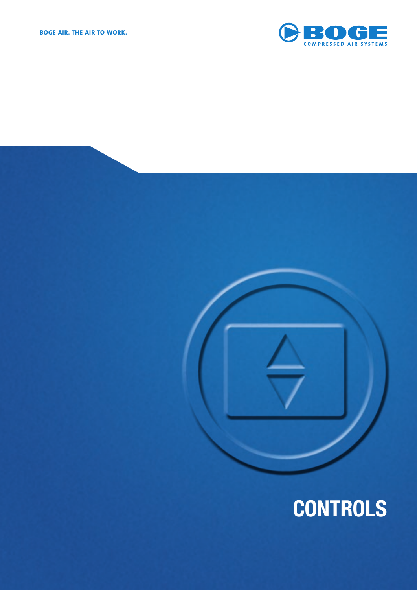

# **CONTROLS**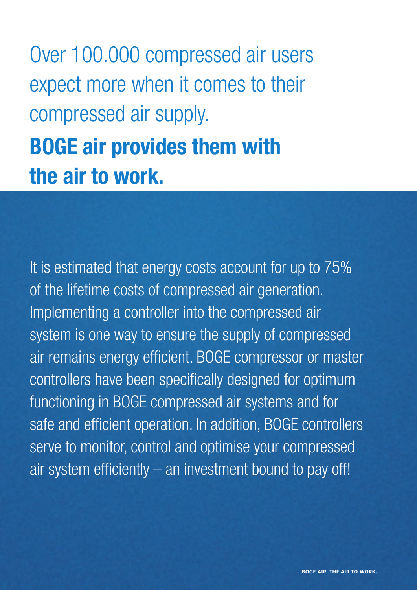Over 100.000 compressed air users expect more when it comes to their compressed air supply. **BOGE air provides them with** 

## **the air to work.**

It is estimated that energy costs account for up to 75% of the lifetime costs of compressed air generation. Implementing a controller into the compressed air system is one way to ensure the supply of compressed air remains energy efficient. BOGE compressor or master controllers have been specifically designed for optimum functioning in BOGE compressed air systems and for safe and efficient operation. In addition, BOGE controllers serve to monitor, control and optimise your compressed air system efficiently  $-$  an investment bound to pay off!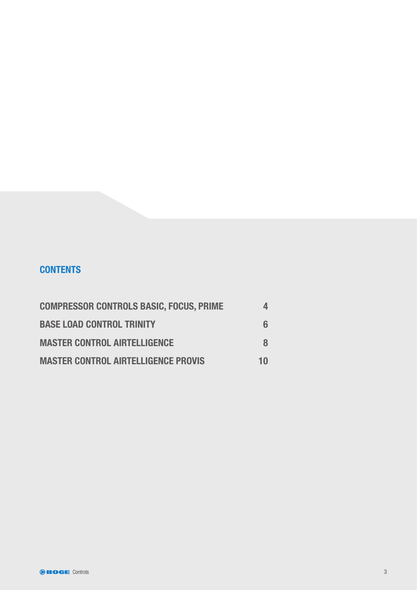## **CONTENTS**

| <b>COMPRESSOR CONTROLS BASIC, FOCUS, PRIME</b> |    |
|------------------------------------------------|----|
| <b>BASE LOAD CONTROL TRINITY</b>               |    |
| <b>MASTER CONTROL AIRTELLIGENCE</b>            |    |
| <b>MASTER CONTROL AIRTELLIGENCE PROVIS</b>     | 10 |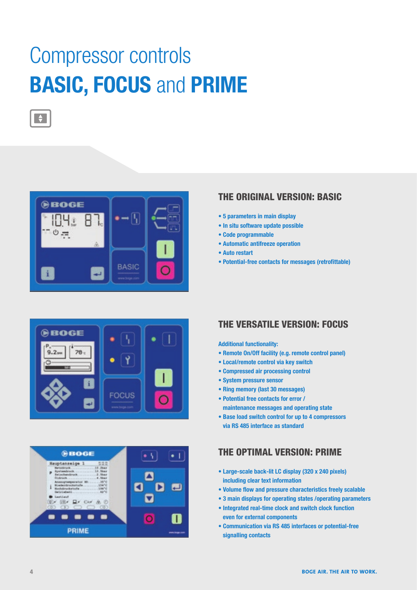## Compressor controls **BASIC, FOCUS** and **PRIME**



 $\rightarrow$ 





## **THE ORIGINAL VERSION: BASIC**

- **5 parameters in main display**
- **In situ software update possible**
- **Code programmable**
- **Automatic antifreeze operation**
- **Auto restart**
- Potential-free contacts for messages (retrofittable)

## **THE VERSATILE VERSION: FOCUS**

#### **Additional functionality:**

- **Remote On/Off facility (e.g. remote control panel)**
- **Local/remote control via key switch**
- **Compressed air processing control**
- **System pressure sensor**
- **Ring memory (last 30 messages)**
- **Potential free contacts for error / maintenance messages and operating state**
- **Base load switch control for up to 4 compressors via RS 485 interface as standard**

## **THE OPTIMAL VERSION: PRIME**

- **Large-scale back-lit LC display (320 x 240 pixels) including clear text information**
- Volume flow and pressure characteristics freely scalable
- **3 main displays for operating states /operating parameters**
- **Integrated real-time clock and switch clock function even for external components**
- **Communication via RS 485 interfaces or potential-free signalling contacts**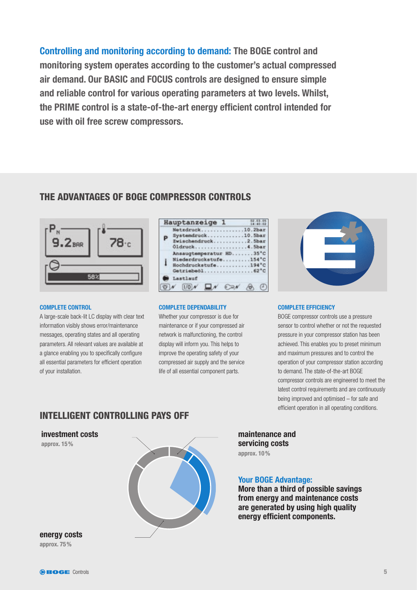**Controlling and monitoring according to demand: The BOGE control and monitoring system operates according to the customer's actual compressed air demand. Our BASIC and FOCUS controls are designed to ensure simple and reliable control for various operating parameters at two levels. Whilst,**  the PRIME control is a state-of-the-art energy efficient control intended for **use with oil free screw compressors.** 

## **THE ADVANTAGES OF BOGE COMPRESSOR CONTROLS**



#### **COMPLETE CONTROL**

A large-scale back-lit LC display with clear text information visibly shows error/maintenance messages, operating states and all operating parameters. All relevant values are available at a glance enabling you to specifically configure all essential parameters for efficient operation of your installation.

| Hauptanzeige 1                                                                      | 02, 03, 05 |
|-------------------------------------------------------------------------------------|------------|
| Netzdruck10.2bar<br>Systemdruck10.5bar<br>P<br>Ewischendruck2.5bar<br>Oldruck4.5bar |            |
| Ansaugtemperatur HD35°C<br>Niederdruckstufe154°C<br>İ<br>Hochdruckstufe194°C        |            |
| Lastlauf                                                                            |            |
| $1/0$ N                                                                             |            |

#### **COMPLETE DEPENDABILITY**

Whether your compressor is due for maintenance or if your compressed air network is malfunctioning, the control display will inform you. This helps to improve the operating safety of your compressed air supply and the service life of all essential component parts.



#### **COMPLETE EFFICIENCY**

BOGE compressor controls use a pressure sensor to control whether or not the requested pressure in your compressor station has been achieved. This enables you to preset minimum and maximum pressures and to control the operation of your compressor station according to demand. The state-of-the-art BOGE compressor controls are engineered to meet the latest control requirements and are continuously being improved and optimised – for safe and efficient operation in all operating conditions.

## **INTELLIGENT CONTROLLING PAYS OFF**

**investment costs** 

**approx. 15 %**



**maintenance and servicing costs approx. 10 %**

## **Your BOGE Advantage:**

**More than a third of possible savings from energy and maintenance costs are generated by using high quality energy efficient components.** 

**energy costs approx. 75 %**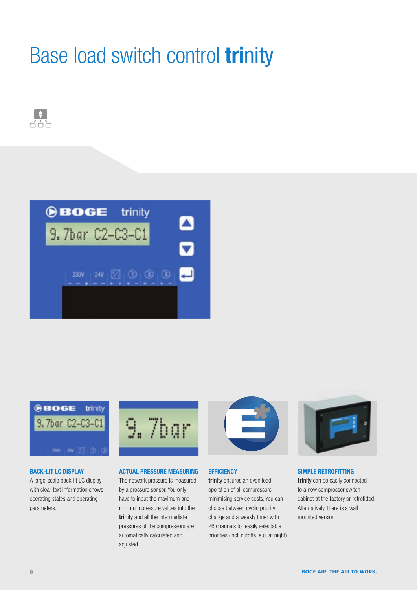## Base load switch control **tri**nity







### **BACK-LIT LC DISPLAY**

A large-scale back-lit LC display with clear text information shows operating states and operating parameters.



### **ACTUAL PRESSURE MEASURING**

The network pressure is measured by a pressure sensor. You only have to input the maximum and minimum pressure values into the **trinity** and all the intermediate pressures of the compressors are automatically calculated and adjusted.



### **EFFICIENCY**

**tri**nity ensures an even load operation of all compressors minimising service costs. You can choose between cyclic priority change and a weekly timer with 26 channels for easily selectable priorities (incl. cutoffs, e.g. at night).



### **SIMPLE RETROFITTING**

**tri**nity can be easily connected to a new compressor switch cabinet at the factory or retrofitted. Alternatively, there is a wall mounted version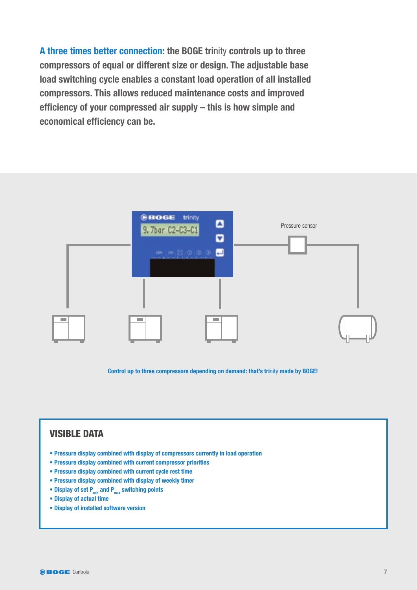**A three times better connection: the BOGE tri**nity **controls up to three compressors of equal or different size or design. The adjustable base load switching cycle enables a constant load operation of all installed compressors. This allows reduced maintenance costs and improved**  efficiency of your compressed air supply – this is how simple and **economical efficiency can be.** 



**Control up to three compressors depending on demand: that's tri**nity **made by BOGE!**

## **VISIBLE DATA**

- **Pressure display combined with display of compressors currently in load operation**
- **Pressure display combined with current compressor priorities**
- **Pressure display combined with current cycle rest time**
- **Pressure display combined with display of weekly timer**
- Display of set P<sub>min</sub> and P<sub>max</sub> switching points
- **Display of actual time**
- **Display of installed software version**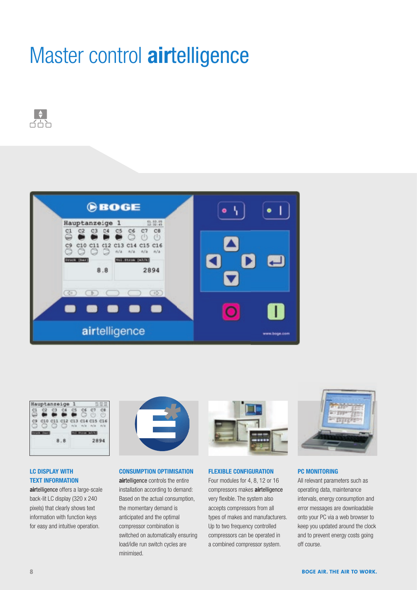## Master control **air**telligence







## **LC DISPLAY WITH TEXT INFORMATION**

**airtelligence offers a large-scale** back-lit LC display (320 x 240 pixels) that clearly shows text information with function keys for easy and intuitive operation.



### **CONSUMPTION OPTIMISATION**

**air**telligence controls the entire installation according to demand: Based on the actual consumption, the momentary demand is anticipated and the optimal compressor combination is switched on automatically ensuring load/idle run switch cycles are minimised.



### **FLEXIBLE CONFIGURATION**

Four modules for 4, 8, 12 or 16 compressors makes **air**telligence very flexible. The system also accepts compressors from all types of makes and manufacturers. Up to two frequency controlled compressors can be operated in a combined compressor system.



## **PC MONITORING**

All relevant parameters such as operating data, maintenance intervals, energy consumption and error messages are downloadable onto your PC via a web browser to keep you updated around the clock and to prevent energy costs going off course.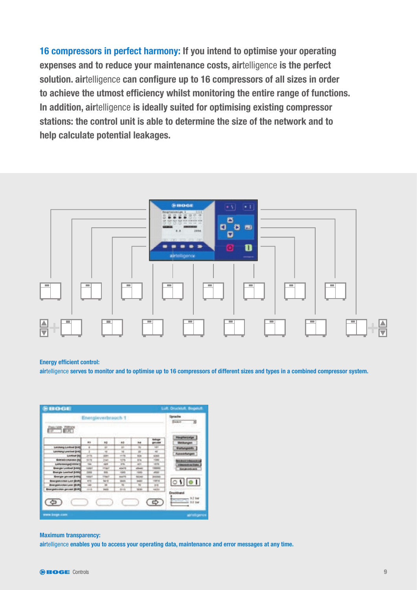**16 compressors in perfect harmony: If you intend to optimise your operating expenses and to reduce your maintenance costs, air**telligence **is the perfect**  solution. airtelligence can configure up to 16 compressors of all sizes in order to achieve the utmost efficiency whilst monitoring the entire range of functions. **In addition, air**telligence **is ideally suited for optimising existing compressor stations: the control unit is able to determine the size of the network and to help calculate potential leakages.** 



#### **Energy efficient control:**

**air**telligence **serves to monitor and to optimise up to 16 compressors of different sizes and types in a combined compressor system.** 

| Energieverbrauch 1                   | lotache<br><b>Seart</b><br>∃ |                          |                |               |               |                                   |
|--------------------------------------|------------------------------|--------------------------|----------------|---------------|---------------|-----------------------------------|
| <b>COMMISSION</b>                    |                              |                          |                |               |               |                                   |
|                                      | $\cdots$                     | $+1$                     | **             | 54            | totaps<br>=== | <b>Hauptonizeige</b>              |
| Lakshang Lordoud (bidd)              |                              |                          |                |               | <b>Hall</b>   | <b><i><u>Statutuporty</u></i></b> |
| <b><i>Lasmang Leathed Bridge</i></b> |                              | ×                        |                |               | $\sim$        |                                   |
| <b>Looking Bd</b>                    | js ty                        | m                        | $-100$         | <b>ROAD</b>   | 4163          | Aimeemmogen                       |
| <b>Extrakcingular (N)</b>            | 21.73                        | <b>Tues</b>              | <b>HOME</b>    | <b>Alla</b>   | <b>VOM</b>    | <b>Michael College and ad-</b>    |
| Listensengation                      | <b>TOM</b>                   | <b>SAFER</b>             | on the         | $-$           | <b>LEITH</b>  |                                   |
| <b>Brangle Lonked (Listing</b>       | <b>Lodge</b>                 | <b>Hard</b>              | scientists.    | <b>START</b>  | -             | <b>SHARING AVE</b>                |
| <b>Energie Learlind Bridge</b>       | <b>STATE</b>                 | man.                     | <b>COLLEGE</b> | <b>Tax</b>    | -             |                                   |
| <b>Knocker personal process</b>      | <b>HAFT</b>                  | <b>Hara</b>              | <b>AMPR</b>    | <b>SECARE</b> | <b>HORNE</b>  |                                   |
| <b>Bluegasternes Law (Bring)</b>     | 111                          | <b>Said</b>              | <b>March</b>   | ш             | <b>HARLIN</b> | 0101                              |
| <b>Energiebunken Lest (Bulk)</b>     | <b>THE</b>                   | $\overline{\phantom{a}}$ | ÷              |               | $-1$          |                                   |
| <b>Brangedoction galvest (BURS)</b>  | 1111                         | tietik                   | <b>Break</b>   | <b>HEIGH</b>  | <b>LASTER</b> |                                   |

#### **Maximum transparency:**

**air**telligence **enables you to access your operating data, maintenance and error messages at any time.**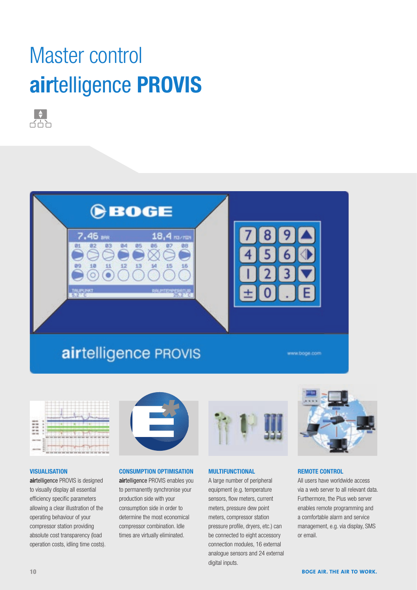## Master control **air**telligence **PROVIS**





## airtelligence PROVIS

**Uboge con** 



#### **VISUALISATION**

**air**telligence PROVIS is designed to visually display all essential efficiency specific parameters allowing a clear illustration of the operating behaviour of your compressor station providing absolute cost transparency (load operation costs, idling time costs).



### **CONSUMPTION OPTIMISATION**

**air**telligence PROVIS enables you to permanently synchronise your production side with your consumption side in order to determine the most economical compressor combination. Idle times are virtually eliminated.



## **MULTIFUNCTIONAL**

A large number of peripheral equipment (e.g. temperature sensors, flow meters, current meters, pressure dew point meters, compressor station pressure profile, dryers, etc.) can be connected to eight accessory connection modules, 16 external analogue sensors and 24 external digital inputs.



## **REMOTE CONTROL**

All users have worldwide access via a web server to all relevant data. Furthermore, the Plus web server enables remote programming and a comfortable alarm and service management, e.g. via display, SMS or email.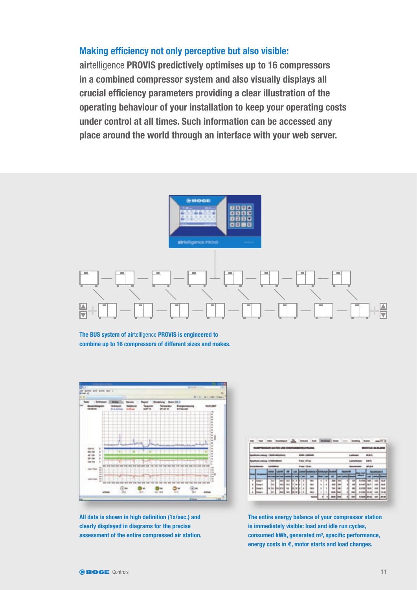## **Making efficiency not only perceptive but also visible:**

**air**telligence **PROVIS predictively optimises up to 16 compressors in a combined compressor system and also visually displays all**  crucial efficiency parameters providing a clear illustration of the **operating behaviour of your installation to keep your operating costs under control at all times. Such information can be accessed any place around the world through an interface with your web server.**



**The BUS system of air**telligence **PROVIS is engineered to combine up to 16 compressors of different sizes and makes.** 



All data is shown in high definition (1x/sec.) and **clearly displayed in diagrams for the precise assessment of the entire compressed air station.** 

|   |  |  |    | -- |                            |  | v. | <b>COLLEGE CHARLES</b> |   |   |  |  |   |                       |  |  | <b><i>RONTAG SLIM S</i></b> |   |
|---|--|--|----|----|----------------------------|--|----|------------------------|---|---|--|--|---|-----------------------|--|--|-----------------------------|---|
|   |  |  |    |    | <b>B-T-M</b><br><b>How</b> |  |    |                        |   |   |  |  |   | <b>MAY</b><br>ᅟ<br>** |  |  |                             |   |
|   |  |  |    |    |                            |  |    |                        |   |   |  |  |   |                       |  |  |                             |   |
|   |  |  |    |    |                            |  |    |                        |   |   |  |  |   |                       |  |  |                             |   |
|   |  |  |    |    |                            |  |    |                        |   |   |  |  |   |                       |  |  |                             |   |
|   |  |  |    |    |                            |  |    |                        |   |   |  |  |   |                       |  |  |                             |   |
| ٠ |  |  |    |    |                            |  | ×  |                        | ь | ٠ |  |  |   | æ                     |  |  |                             |   |
| × |  |  |    |    |                            |  | ٠  |                        | ŧ | × |  |  |   |                       |  |  |                             |   |
| ٠ |  |  | 49 |    |                            |  | ٠  |                        | × |   |  |  |   |                       |  |  |                             |   |
| ٠ |  |  |    |    |                            |  | ٠  | <b>HELL</b>            | × | ٠ |  |  | ٠ |                       |  |  | ٠                           |   |
|   |  |  |    |    |                            |  |    |                        |   |   |  |  |   |                       |  |  |                             | ٠ |

**The entire energy balance of your compressor station is immediately visible: load and idle run cycles,**  consumed kWh, generated m<sup>3</sup>, specific performance, **energy costs in €, motor starts and load changes.**